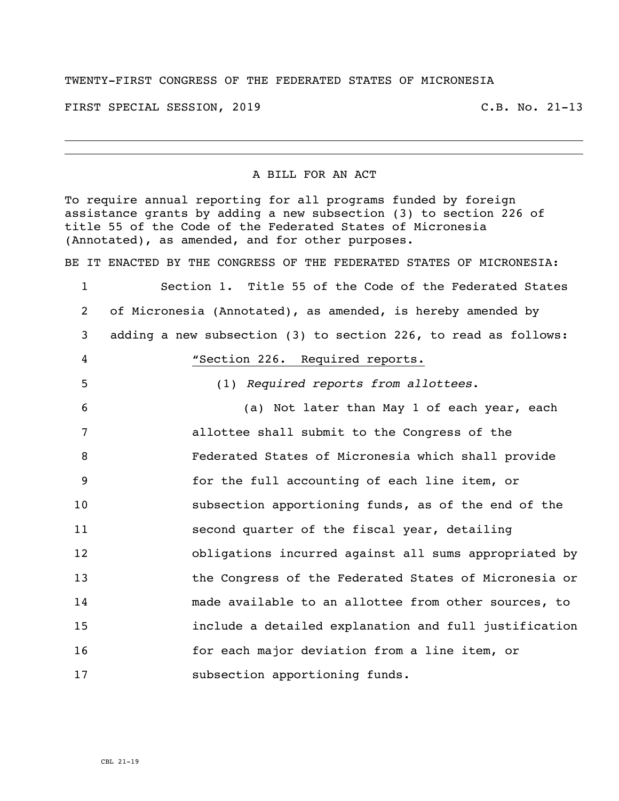## TWENTY-FIRST CONGRESS OF THE FEDERATED STATES OF MICRONESIA

FIRST SPECIAL SESSION, 2019 C.B. No. 21-13

## A BILL FOR AN ACT

To require annual reporting for all programs funded by foreign assistance grants by adding a new subsection (3) to section 226 of title 55 of the Code of the Federated States of Micronesia (Annotated), as amended, and for other purposes.

BE IT ENACTED BY THE CONGRESS OF THE FEDERATED STATES OF MICRONESIA:

 Section 1. Title 55 of the Code of the Federated States of Micronesia (Annotated), as amended, is hereby amended by adding a new subsection (3) to section 226, to read as follows: **"**Section 226. Required reports. (1) *Required reports from allottees*. (a) Not later than May 1 of each year, each allottee shall submit to the Congress of the Federated States of Micronesia which shall provide for the full accounting of each line item, or subsection apportioning funds, as of the end of the second quarter of the fiscal year, detailing obligations incurred against all sums appropriated by the Congress of the Federated States of Micronesia or made available to an allottee from other sources, to include a detailed explanation and full justification for each major deviation from a line item, or 17 subsection apportioning funds.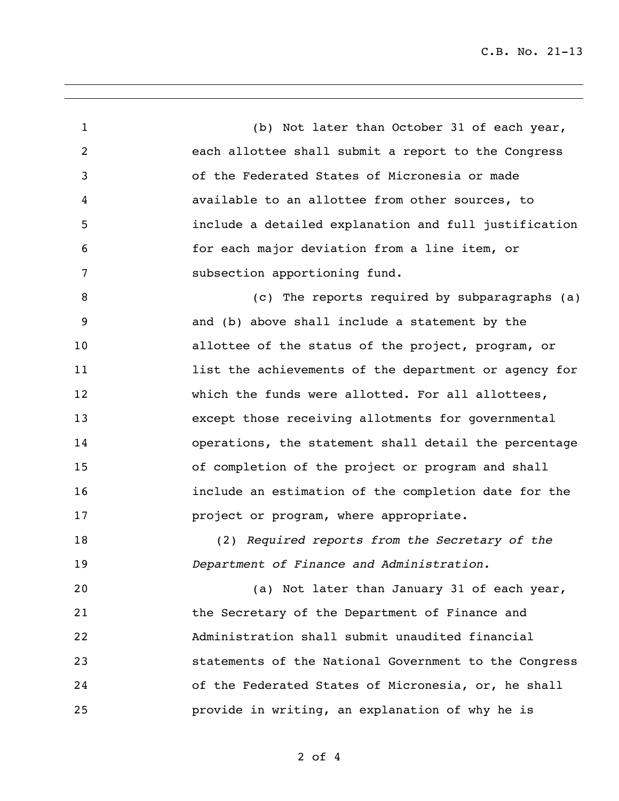C.B. No. 21-13

 (b) Not later than October 31 of each year, each allottee shall submit a report to the Congress of the Federated States of Micronesia or made available to an allottee from other sources, to include a detailed explanation and full justification for each major deviation from a line item, or subsection apportioning fund. (c) The reports required by subparagraphs (a) and (b) above shall include a statement by the allottee of the status of the project, program, or **11** list the achievements of the department or agency for 12 which the funds were allotted. For all allottees, except those receiving allotments for governmental operations, the statement shall detail the percentage of completion of the project or program and shall include an estimation of the completion date for the **project or program, where appropriate.**  (2) *Required reports from the Secretary of the Department of Finance and Administration.* (a) Not later than January 31 of each year, the Secretary of the Department of Finance and Administration shall submit unaudited financial statements of the National Government to the Congress of the Federated States of Micronesia, or, he shall provide in writing, an explanation of why he is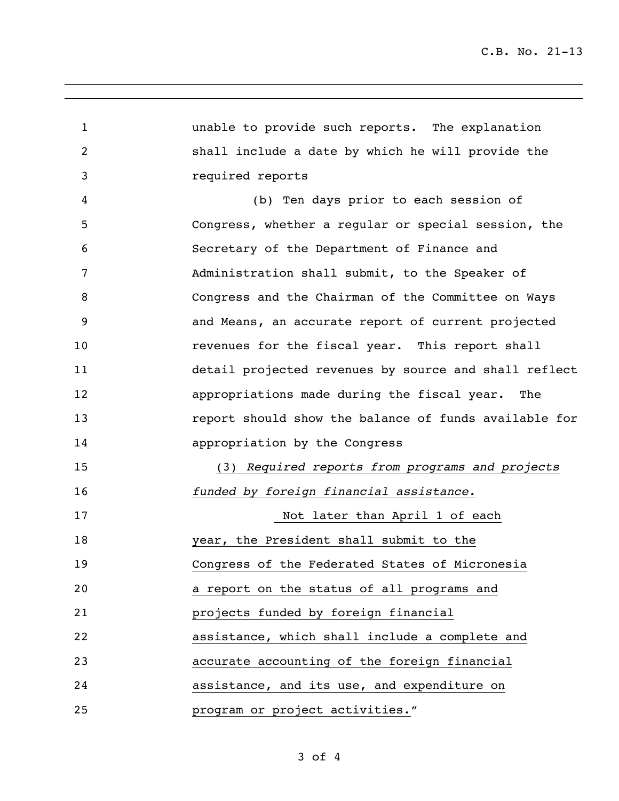| $\mathbf{1}$   | unable to provide such reports. The explanation       |
|----------------|-------------------------------------------------------|
| $\overline{2}$ | shall include a date by which he will provide the     |
| 3              | required reports                                      |
| 4              | (b) Ten days prior to each session of                 |
| 5              | Congress, whether a regular or special session, the   |
| 6              | Secretary of the Department of Finance and            |
| 7              | Administration shall submit, to the Speaker of        |
| 8              | Congress and the Chairman of the Committee on Ways    |
| 9              | and Means, an accurate report of current projected    |
| 10             | revenues for the fiscal year. This report shall       |
| 11             | detail projected revenues by source and shall reflect |
| 12             | appropriations made during the fiscal year. The       |
| 13             | report should show the balance of funds available for |
| 14             | appropriation by the Congress                         |
| 15             | (3) Required reports from programs and projects       |
| 16             | funded by foreign financial assistance.               |
| 17             | Not later than April 1 of each                        |
| 18             | year, the President shall submit to the               |
| 19             | Congress of the Federated States of Micronesia        |
| 20             | a report on the status of all programs and            |
| 21             | projects funded by foreign financial                  |
| 22             | assistance, which shall include a complete and        |
| 23             | accurate accounting of the foreign financial          |
| 24             | assistance, and its use, and expenditure on           |
| 25             | program or project activities."                       |